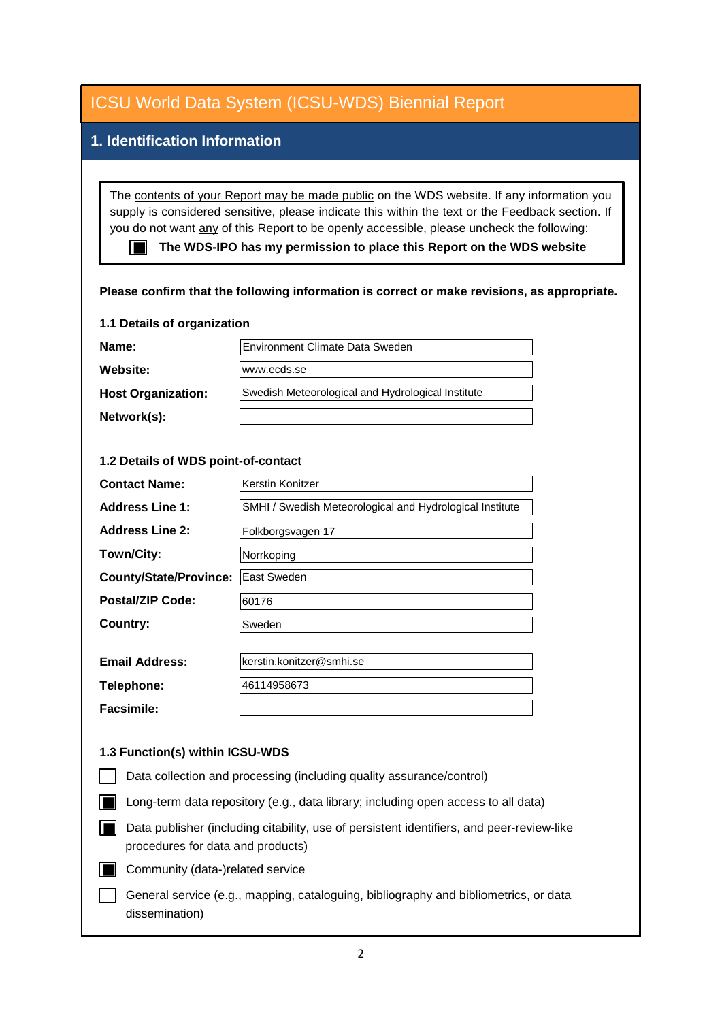| <b>ICSU World Data System (ICSU-WDS) Biennial Report</b>                                                                                                                                                                                                                                                                                                                                                                                                           |                                                          |
|--------------------------------------------------------------------------------------------------------------------------------------------------------------------------------------------------------------------------------------------------------------------------------------------------------------------------------------------------------------------------------------------------------------------------------------------------------------------|----------------------------------------------------------|
| 1. Identification Information                                                                                                                                                                                                                                                                                                                                                                                                                                      |                                                          |
|                                                                                                                                                                                                                                                                                                                                                                                                                                                                    |                                                          |
| The contents of your Report may be made public on the WDS website. If any information you<br>supply is considered sensitive, please indicate this within the text or the Feedback section. If<br>you do not want any of this Report to be openly accessible, please uncheck the following:<br>The WDS-IPO has my permission to place this Report on the WDS website<br>Please confirm that the following information is correct or make revisions, as appropriate. |                                                          |
| 1.1 Details of organization                                                                                                                                                                                                                                                                                                                                                                                                                                        |                                                          |
| Name:                                                                                                                                                                                                                                                                                                                                                                                                                                                              | Environment Climate Data Sweden                          |
| Website:                                                                                                                                                                                                                                                                                                                                                                                                                                                           | www.ecds.se                                              |
|                                                                                                                                                                                                                                                                                                                                                                                                                                                                    |                                                          |
| <b>Host Organization:</b>                                                                                                                                                                                                                                                                                                                                                                                                                                          | Swedish Meteorological and Hydrological Institute        |
| Network(s):                                                                                                                                                                                                                                                                                                                                                                                                                                                        |                                                          |
| 1.2 Details of WDS point-of-contact                                                                                                                                                                                                                                                                                                                                                                                                                                |                                                          |
|                                                                                                                                                                                                                                                                                                                                                                                                                                                                    |                                                          |
| <b>Contact Name:</b>                                                                                                                                                                                                                                                                                                                                                                                                                                               | Kerstin Konitzer                                         |
| <b>Address Line 1:</b>                                                                                                                                                                                                                                                                                                                                                                                                                                             | SMHI / Swedish Meteorological and Hydrological Institute |
| <b>Address Line 2:</b>                                                                                                                                                                                                                                                                                                                                                                                                                                             | Folkborgsvagen 17                                        |
| Town/City:                                                                                                                                                                                                                                                                                                                                                                                                                                                         | Norrkoping                                               |
| <b>County/State/Province:</b>                                                                                                                                                                                                                                                                                                                                                                                                                                      | East Sweden                                              |
| <b>Postal/ZIP Code:</b>                                                                                                                                                                                                                                                                                                                                                                                                                                            | 60176                                                    |
| <b>Country:</b>                                                                                                                                                                                                                                                                                                                                                                                                                                                    | Sweden                                                   |
| <b>Email Address:</b>                                                                                                                                                                                                                                                                                                                                                                                                                                              | kerstin.konitzer@smhi.se                                 |
|                                                                                                                                                                                                                                                                                                                                                                                                                                                                    |                                                          |
| Telephone:                                                                                                                                                                                                                                                                                                                                                                                                                                                         | 46114958673                                              |
| <b>Facsimile:</b>                                                                                                                                                                                                                                                                                                                                                                                                                                                  |                                                          |
| 1.3 Function(s) within ICSU-WDS                                                                                                                                                                                                                                                                                                                                                                                                                                    |                                                          |
| Data collection and processing (including quality assurance/control)                                                                                                                                                                                                                                                                                                                                                                                               |                                                          |
| Long-term data repository (e.g., data library; including open access to all data)                                                                                                                                                                                                                                                                                                                                                                                  |                                                          |
| Data publisher (including citability, use of persistent identifiers, and peer-review-like<br>procedures for data and products)                                                                                                                                                                                                                                                                                                                                     |                                                          |
| Community (data-)related service                                                                                                                                                                                                                                                                                                                                                                                                                                   |                                                          |
| General service (e.g., mapping, cataloguing, bibliography and bibliometrics, or data<br>dissemination)                                                                                                                                                                                                                                                                                                                                                             |                                                          |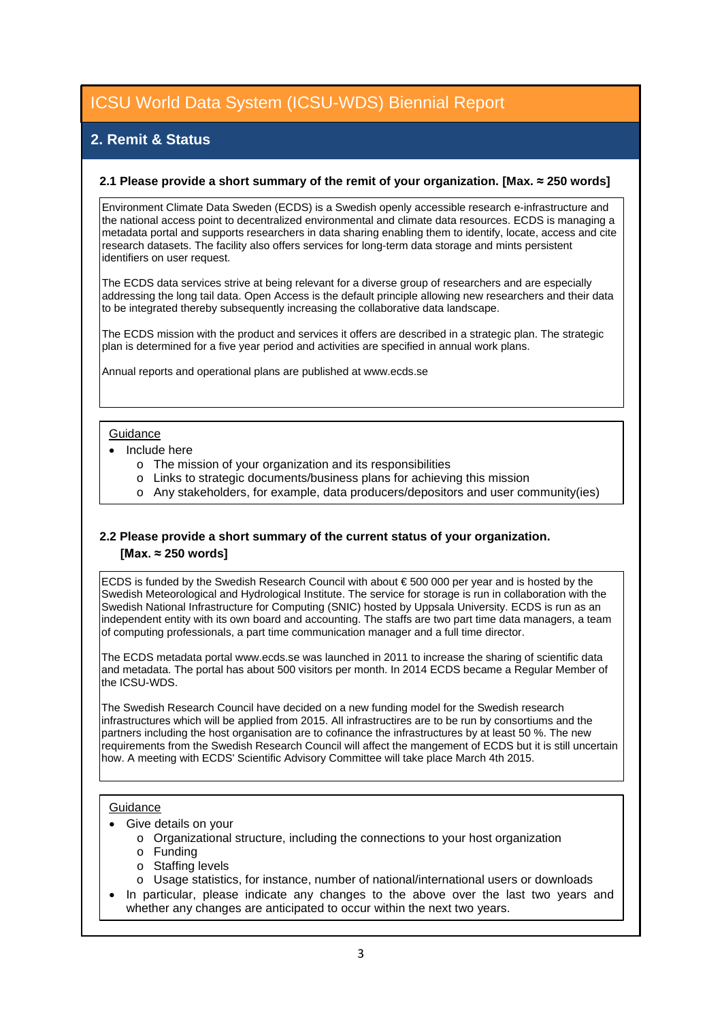### **2. Remit & Status**

#### **2.1 Please provide a short summary of the remit of your organization. [Max. ≈ 250 words]**

Environment Climate Data Sweden (ECDS) is a Swedish openly accessible research e-infrastructure and the national access point to decentralized environmental and climate data resources. ECDS is managing a metadata portal and supports researchers in data sharing enabling them to identify, locate, access and cite research datasets. The facility also offers services for long-term data storage and mints persistent identifiers on user request.

The ECDS data services strive at being relevant for a diverse group of researchers and are especially addressing the long tail data. Open Access is the default principle allowing new researchers and their data to be integrated thereby subsequently increasing the collaborative data landscape.

The ECDS mission with the product and services it offers are described in a strategic plan. The strategic plan is determined for a five year period and activities are specified in annual work plans.

Annual reports and operational plans are published at www.ecds.se

#### Guidance

- Include here
	- o The mission of your organization and its responsibilities
	- o Links to strategic documents/business plans for achieving this mission
	- o Any stakeholders, for example, data producers/depositors and user community(ies)

#### **2.2 Please provide a short summary of the current status of your organization. [Max. ≈ 250 words]**

ECDS is funded by the Swedish Research Council with about € 500 000 per year and is hosted by the Swedish Meteorological and Hydrological Institute. The service for storage is run in collaboration with the Swedish National Infrastructure for Computing (SNIC) hosted by Uppsala University. ECDS is run as an independent entity with its own board and accounting. The staffs are two part time data managers, a team  $\vert$ of computing professionals, a part time communication manager and a full time director.

The ECDS metadata portal www.ecds.se was launched in 2011 to increase the sharing of scientific data and metadata. The portal has about 500 visitors per month. In 2014 ECDS became a Regular Member of the ICSU-WDS.

The Swedish Research Council have decided on a new funding model for the Swedish research infrastructures which will be applied from 2015. All infrastructires are to be run by consortiums and the partners including the host organisation are to cofinance the infrastructures by at least 50 %. The new requirements from the Swedish Research Council will affect the mangement of ECDS but it is still uncertain how. A meeting with ECDS' Scientific Advisory Committee will take place March 4th 2015.

#### **Guidance**

- Give details on your
	- o Organizational structure, including the connections to your host organization
	- o Funding
	- o Staffing levels
	- o Usage statistics, for instance, number of national/international users or downloads
- In particular, please indicate any changes to the above over the last two years and whether any changes are anticipated to occur within the next two years.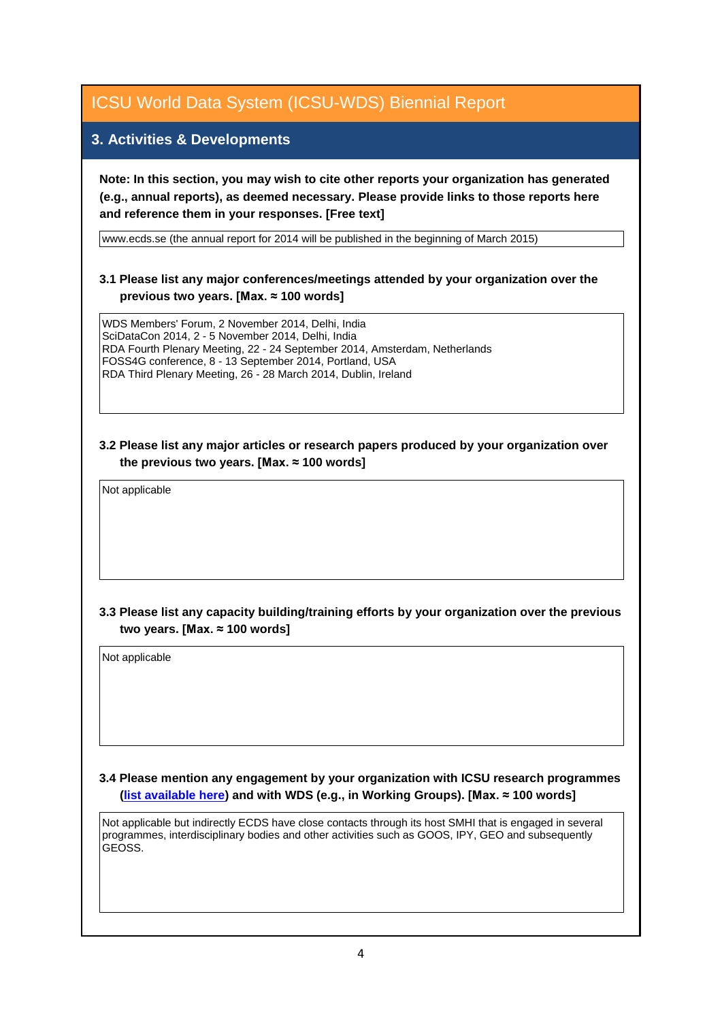#### **3. Activities & Developments**

**Note: In this section, you may wish to cite other reports your organization has generated (e.g., annual reports), as deemed necessary. Please provide links to those reports here and reference them in your responses. [Free text]**

www.ecds.se (the annual report for 2014 will be published in the beginning of March 2015)

#### **3.1 Please list any major conferences/meetings attended by your organization over the previous two years. [Max. ≈ 100 words]**

WDS Members' Forum, 2 November 2014, Delhi, India SciDataCon 2014, 2 - 5 November 2014, Delhi, India RDA Fourth Plenary Meeting, 22 - 24 September 2014, Amsterdam, Netherlands FOSS4G conference, 8 - 13 September 2014, Portland, USA RDA Third Plenary Meeting, 26 - 28 March 2014, Dublin, Ireland

#### **3.2 Please list any major articles or research papers produced by your organization over the previous two years. [Max. ≈ 100 words]**

Not applicable

#### **3.3 Please list any capacity building/training efforts by your organization over the previous two years. [Max. ≈ 100 words]**

# **3.4 Please mention any engagement by your organization with ICSU research programmes (list available here) and with WDS (e.g., in Working Groups). [Max. ≈ 100 words]** Not applicable<br>3.4 Please mention any engagement by your organization with ICSU research programm<br><u>(list available here</u>) and with WDS (e.g., in Working Groups). [Max. ≈ 100 words]<br>Not applicable but indirectly ECDS have

programmes, interdisciplinary bodies and other activities such as GOOS, IPY, GEO and subsequently GEOSS.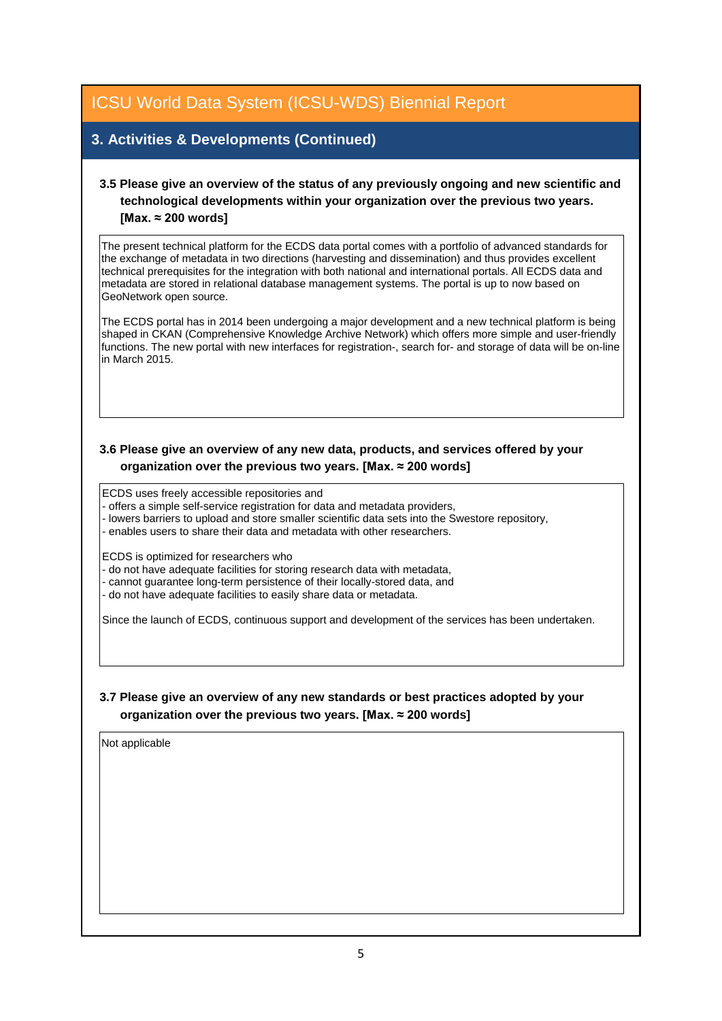#### **3. Activities & Developments (Continued)**

#### **3.5 Please give an overview of the status of any previously ongoing and new scientific and technological developments within your organization over the previous two years. [Max. ≈ 200 words]**

The present technical platform for the ECDS data portal comes with a portfolio of advanced standards for the exchange of metadata in two directions (harvesting and dissemination) and thus provides excellent technical prerequisites for the integration with both national and international portals. All ECDS data and metadata are stored in relational database management systems. The portal is up to now based on GeoNetwork open source.

The ECDS portal has in 2014 been undergoing a major development and a new technical platform is being shaped in CKAN (Comprehensive Knowledge Archive Network) which offers more simple and user-friendly functions. The new portal with new interfaces for registration-, search for- and storage of data will be on-line in March 2015.

#### **3.6 Please give an overview of any new data, products, and services offered by your organization over the previous two years. [Max. ≈ 200 words]**

ECDS uses freely accessible repositories and

- offers a simple self-service registration for data and metadata providers,

- lowers barriers to upload and store smaller scientific data sets into the Swestore repository,
- enables users to share their data and metadata with other researchers.

ECDS is optimized for researchers who

- do not have adequate facilities for storing research data with metadata,

- cannot guarantee long-term persistence of their locally-stored data, and
- do not have adequate facilities to easily share data or metadata.

Since the launch of ECDS, continuous support and development of the services has been undertaken.

#### **3.7 Please give an overview of any new standards or best practices adopted by your organization over the previous two years. [Max. ≈ 200 words]**

Not applicable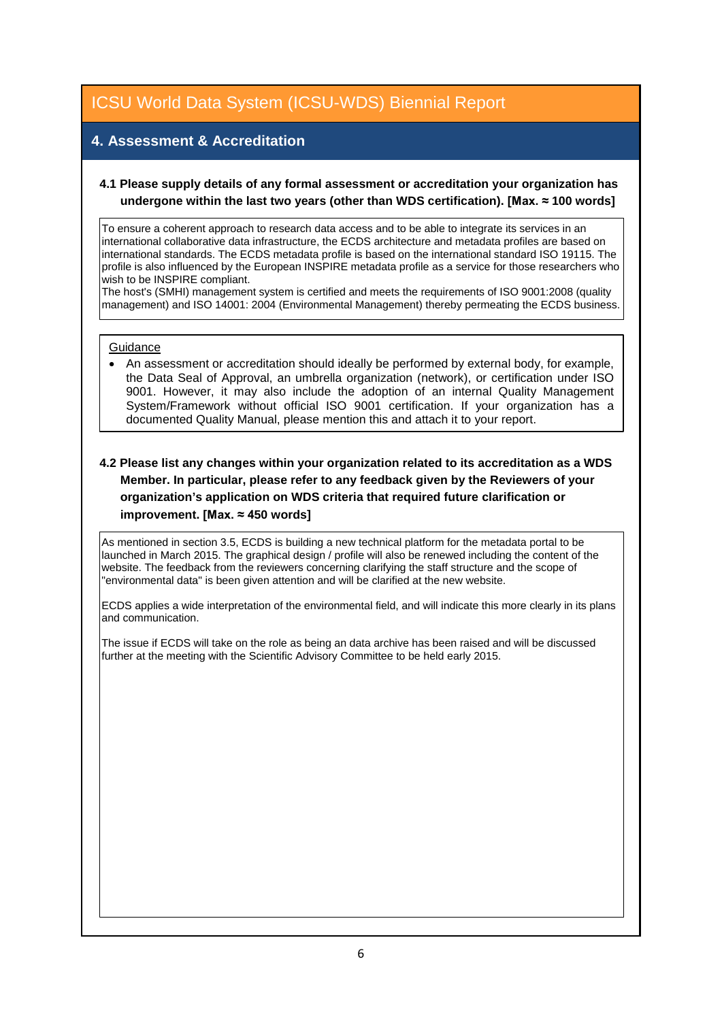#### **4. Assessment & Accreditation**

#### **4.1 Please supply details of any formal assessment or accreditation your organization has undergone within the last two years (other than WDS certification). [Max. ≈ 100 words]**

To ensure a coherent approach to research data access and to be able to integrate its services in an international collaborative data infrastructure, the ECDS architecture and metadata profiles are based on international standards. The ECDS metadata profile is based on the international standard ISO 19115. The profile is also influenced by the European INSPIRE metadata profile as a service for those researchers who wish to be INSPIRE compliant.

The host's (SMHI) management system is certified and meets the requirements of ISO 9001:2008 (quality management) and ISO 14001: 2004 (Environmental Management) thereby permeating the ECDS business.

#### **Guidance**

• An assessment or accreditation should ideally be performed by external body, for example, the Data Seal of Approval, an umbrella organization (network), or certification under ISO 9001. However, it may also include the adoption of an internal Quality Management System/Framework without official ISO 9001 certification. If your organization has a documented Quality Manual, please mention this and attach it to your report.

#### **4.2 Please list any changes within your organization related to its accreditation as a WDS Member. In particular, please refer to any feedback given by the Reviewers of your organization's application on WDS criteria that required future clarification or improvement. [Max. ≈ 450 words]**

As mentioned in section 3.5, ECDS is building a new technical platform for the metadata portal to be launched in March 2015. The graphical design / profile will also be renewed including the content of the website. The feedback from the reviewers concerning clarifying the staff structure and the scope of "environmental data" is been given attention and will be clarified at the new website.

ECDS applies a wide interpretation of the environmental field, and will indicate this more clearly in its plans and communication.

The issue if ECDS will take on the role as being an data archive has been raised and will be discussed further at the meeting with the Scientific Advisory Committee to be held early 2015.